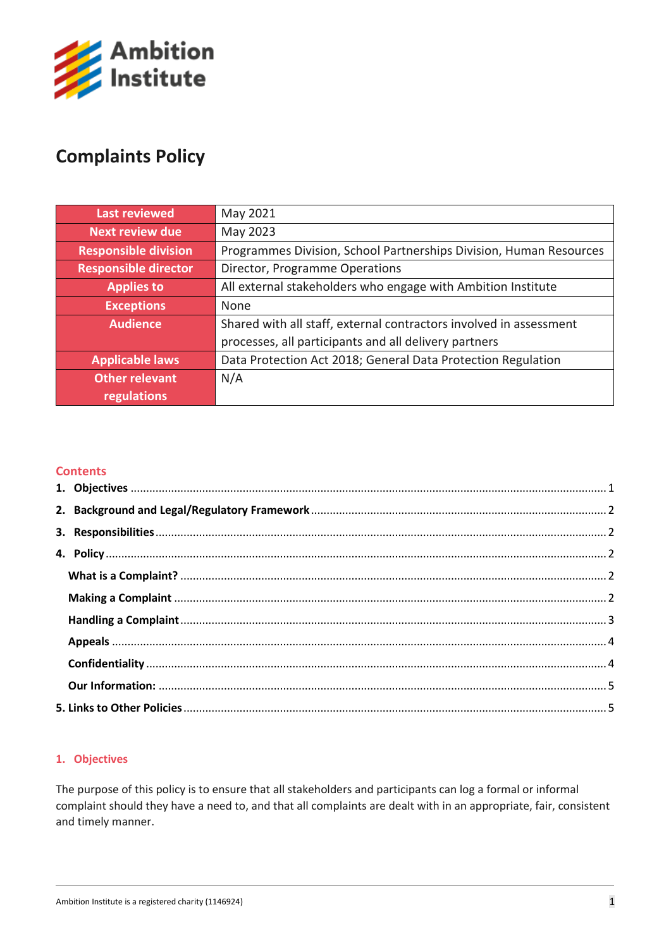

# **Complaints Policy**

| <b>Last reviewed</b>        | May 2021                                                           |
|-----------------------------|--------------------------------------------------------------------|
| <b>Next review due</b>      | May 2023                                                           |
| <b>Responsible division</b> | Programmes Division, School Partnerships Division, Human Resources |
| <b>Responsible director</b> | Director, Programme Operations                                     |
| <b>Applies to</b>           | All external stakeholders who engage with Ambition Institute       |
| <b>Exceptions</b>           | None                                                               |
| <b>Audience</b>             | Shared with all staff, external contractors involved in assessment |
|                             | processes, all participants and all delivery partners              |
| <b>Applicable laws</b>      | Data Protection Act 2018; General Data Protection Regulation       |
| <b>Other relevant</b>       | N/A                                                                |
| regulations                 |                                                                    |

# **Contents**

## <span id="page-0-0"></span>**1. Objectives**

The purpose of this policy is to ensure that all stakeholders and participants can log a formal or informal complaint should they have a need to, and that all complaints are dealt with in an appropriate, fair, consistent and timely manner.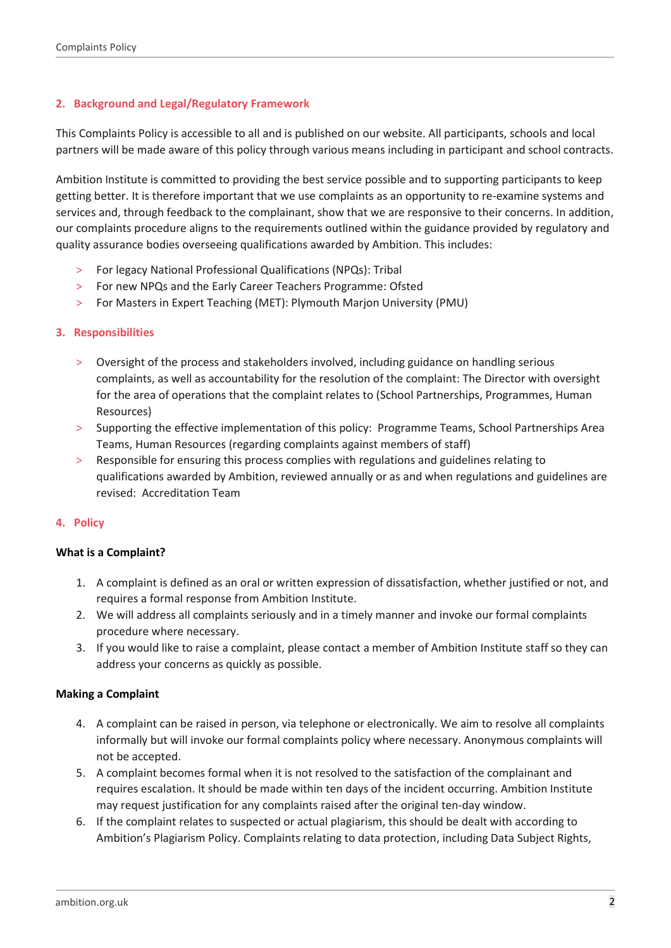## <span id="page-1-0"></span>**2. Background and Legal/Regulatory Framework**

This Complaints Policy is accessible to all and is published on our website. All participants, schools and local partners will be made aware of this policy through various means including in participant and school contracts.

Ambition Institute is committed to providing the best service possible and to supporting participants to keep getting better. It is therefore important that we use complaints as an opportunity to re-examine systems and services and, through feedback to the complainant, show that we are responsive to their concerns. In addition, our complaints procedure aligns to the requirements outlined within the guidance provided by regulatory and quality assurance bodies overseeing qualifications awarded by Ambition. This includes:

- > For legacy National Professional Qualifications (NPQs): Tribal
- > For new NPQs and the Early Career Teachers Programme: Ofsted
- > For Masters in Expert Teaching (MET): Plymouth Marjon University (PMU)

## <span id="page-1-1"></span>**3. Responsibilities**

- > Oversight of the process and stakeholders involved, including guidance on handling serious complaints, as well as accountability for the resolution of the complaint: The Director with oversight for the area of operations that the complaint relates to (School Partnerships, Programmes, Human Resources)
- > Supporting the effective implementation of this policy: Programme Teams, School Partnerships Area Teams, Human Resources (regarding complaints against members of staff)
- > Responsible for ensuring this process complies with regulations and guidelines relating to qualifications awarded by Ambition, reviewed annually or as and when regulations and guidelines are revised: Accreditation Team

#### <span id="page-1-2"></span>**4. Policy**

#### <span id="page-1-3"></span>**What is a Complaint?**

- 1. A complaint is defined as an oral or written expression of dissatisfaction, whether justified or not, and requires a formal response from Ambition Institute.
- 2. We will address all complaints seriously and in a timely manner and invoke our formal complaints procedure where necessary.
- 3. If you would like to raise a complaint, please contact a member of Ambition Institute staff so they can address your concerns as quickly as possible.

#### <span id="page-1-4"></span>**Making a Complaint**

- 4. A complaint can be raised in person, via telephone or electronically. We aim to resolve all complaints informally but will invoke our formal complaints policy where necessary. Anonymous complaints will not be accepted.
- 5. A complaint becomes formal when it is not resolved to the satisfaction of the complainant and requires escalation. It should be made within ten days of the incident occurring. Ambition Institute may request justification for any complaints raised after the original ten-day window.
- 6. If the complaint relates to suspected or actual plagiarism, this should be dealt with according to Ambition's Plagiarism Policy. Complaints relating to data protection, including Data Subject Rights,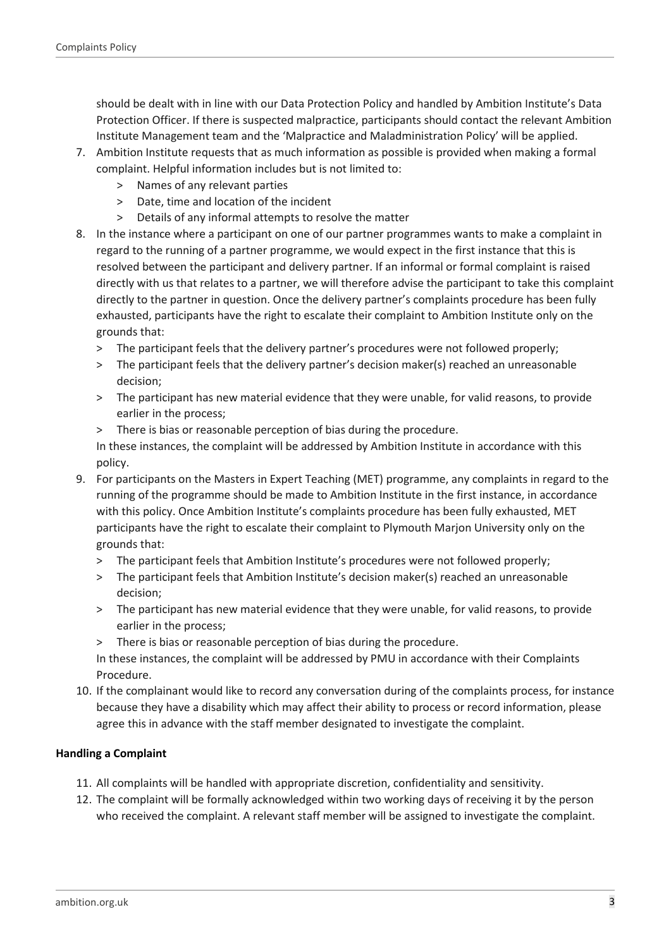should be dealt with in line with our Data Protection Policy and handled by Ambition Institute's Data Protection Officer. If there is suspected malpractice, participants should contact the relevant Ambition Institute Management team and the 'Malpractice and Maladministration Policy' will be applied.

- 7. Ambition Institute requests that as much information as possible is provided when making a formal complaint. Helpful information includes but is not limited to:
	- > Names of any relevant parties
	- > Date, time and location of the incident
	- > Details of any informal attempts to resolve the matter
- 8. In the instance where a participant on one of our partner programmes wants to make a complaint in regard to the running of a partner programme, we would expect in the first instance that this is resolved between the participant and delivery partner. If an informal or formal complaint is raised directly with us that relates to a partner, we will therefore advise the participant to take this complaint directly to the partner in question. Once the delivery partner's complaints procedure has been fully exhausted, participants have the right to escalate their complaint to Ambition Institute only on the grounds that:
	- > The participant feels that the delivery partner's procedures were not followed properly;
	- > The participant feels that the delivery partner's decision maker(s) reached an unreasonable decision;
	- > The participant has new material evidence that they were unable, for valid reasons, to provide earlier in the process;
	- > There is bias or reasonable perception of bias during the procedure.

In these instances, the complaint will be addressed by Ambition Institute in accordance with this policy.

- 9. For participants on the Masters in Expert Teaching (MET) programme, any complaints in regard to the running of the programme should be made to Ambition Institute in the first instance, in accordance with this policy. Once Ambition Institute's complaints procedure has been fully exhausted, MET participants have the right to escalate their complaint to Plymouth Marjon University only on the grounds that:
	- > The participant feels that Ambition Institute's procedures were not followed properly;
	- > The participant feels that Ambition Institute's decision maker(s) reached an unreasonable decision;
	- > The participant has new material evidence that they were unable, for valid reasons, to provide earlier in the process;
	- > There is bias or reasonable perception of bias during the procedure.

In these instances, the complaint will be addressed by PMU in accordance with their Complaints Procedure.

10. If the complainant would like to record any conversation during of the complaints process, for instance because they have a disability which may affect their ability to process or record information, please agree this in advance with the staff member designated to investigate the complaint.

## <span id="page-2-0"></span>**Handling a Complaint**

- 11. All complaints will be handled with appropriate discretion, confidentiality and sensitivity.
- 12. The complaint will be formally acknowledged within two working days of receiving it by the person who received the complaint. A relevant staff member will be assigned to investigate the complaint.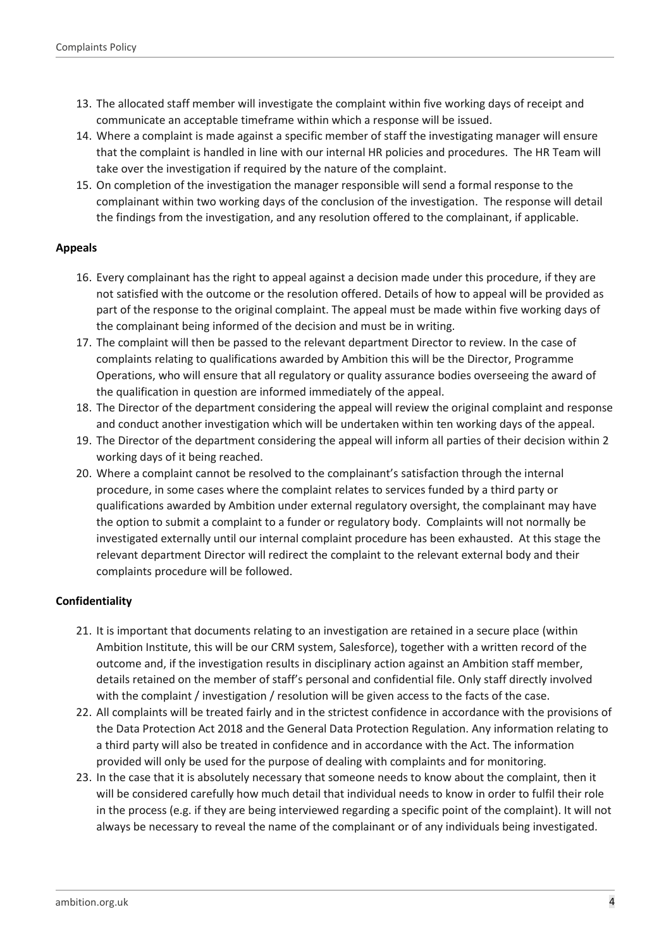- 13. The allocated staff member will investigate the complaint within five working days of receipt and communicate an acceptable timeframe within which a response will be issued.
- 14. Where a complaint is made against a specific member of staff the investigating manager will ensure that the complaint is handled in line with our internal HR policies and procedures. The HR Team will take over the investigation if required by the nature of the complaint.
- 15. On completion of the investigation the manager responsible will send a formal response to the complainant within two working days of the conclusion of the investigation. The response will detail the findings from the investigation, and any resolution offered to the complainant, if applicable.

## <span id="page-3-0"></span>**Appeals**

- 16. Every complainant has the right to appeal against a decision made under this procedure, if they are not satisfied with the outcome or the resolution offered. Details of how to appeal will be provided as part of the response to the original complaint. The appeal must be made within five working days of the complainant being informed of the decision and must be in writing.
- 17. The complaint will then be passed to the relevant department Director to review. In the case of complaints relating to qualifications awarded by Ambition this will be the Director, Programme Operations, who will ensure that all regulatory or quality assurance bodies overseeing the award of the qualification in question are informed immediately of the appeal.
- 18. The Director of the department considering the appeal will review the original complaint and response and conduct another investigation which will be undertaken within ten working days of the appeal.
- 19. The Director of the department considering the appeal will inform all parties of their decision within 2 working days of it being reached.
- 20. Where a complaint cannot be resolved to the complainant's satisfaction through the internal procedure, in some cases where the complaint relates to services funded by a third party or qualifications awarded by Ambition under external regulatory oversight, the complainant may have the option to submit a complaint to a funder or regulatory body. Complaints will not normally be investigated externally until our internal complaint procedure has been exhausted. At this stage the relevant department Director will redirect the complaint to the relevant external body and their complaints procedure will be followed.

## <span id="page-3-1"></span>**Confidentiality**

- 21. It is important that documents relating to an investigation are retained in a secure place (within Ambition Institute, this will be our CRM system, Salesforce), together with a written record of the outcome and, if the investigation results in disciplinary action against an Ambition staff member, details retained on the member of staff's personal and confidential file. Only staff directly involved with the complaint / investigation / resolution will be given access to the facts of the case.
- 22. All complaints will be treated fairly and in the strictest confidence in accordance with the provisions of the Data Protection Act 2018 and the General Data Protection Regulation. Any information relating to a third party will also be treated in confidence and in accordance with the Act. The information provided will only be used for the purpose of dealing with complaints and for monitoring.
- 23. In the case that it is absolutely necessary that someone needs to know about the complaint, then it will be considered carefully how much detail that individual needs to know in order to fulfil their role in the process (e.g. if they are being interviewed regarding a specific point of the complaint). It will not always be necessary to reveal the name of the complainant or of any individuals being investigated.